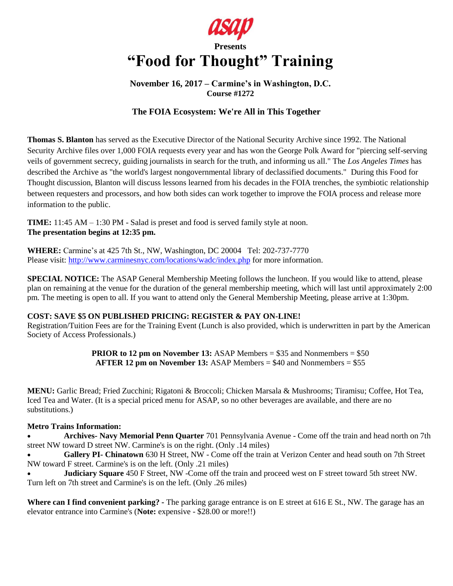

# **Presents "Food for Thought" Training**

## **November 16, 2017 – Carmine's in Washington, D.C. Course #1272**

# **The FOIA Ecosystem: We're All in This Together**

**Thomas S. Blanton** has served as the Executive Director of the National Security Archive since 1992. The National Security Archive files over 1,000 FOIA requests every year and has won the George Polk Award for "piercing self-serving veils of government secrecy, guiding journalists in search for the truth, and informing us all." The *Los Angeles Times* has described the Archive as "the world's largest nongovernmental library of declassified documents." During this Food for Thought discussion, Blanton will discuss lessons learned from his decades in the FOIA trenches, the symbiotic relationship between requesters and processors, and how both sides can work together to improve the FOIA process and release more information to the public.

**TIME:** 11:45 AM – 1:30 PM - Salad is preset and food is served family style at noon. **The presentation begins at 12:35 pm.** 

**WHERE:** Carmine's at 425 7th St., NW, Washington, DC 20004 Tel: 202-737-7770 Please visit:<http://www.carminesnyc.com/locations/wadc/index.php> for more information.

**SPECIAL NOTICE:** The ASAP General Membership Meeting follows the luncheon. If you would like to attend, please plan on remaining at the venue for the duration of the general membership meeting, which will last until approximately 2:00 pm. The meeting is open to all. If you want to attend only the General Membership Meeting, please arrive at 1:30pm.

## **COST: SAVE \$5 ON PUBLISHED PRICING: REGISTER & PAY ON-LINE!**

Registration/Tuition Fees are for the Training Event (Lunch is also provided, which is underwritten in part by the American Society of Access Professionals.)

> **PRIOR to 12 pm on November 13:** ASAP Members = \$35 and Nonmembers = \$50 **AFTER 12 pm on November 13:** ASAP Members = \$40 and Nonmembers = \$55

**MENU:** Garlic Bread; Fried Zucchini; Rigatoni & Broccoli; Chicken Marsala & Mushrooms; Tiramisu; Coffee, Hot Tea, Iced Tea and Water. (It is a special priced menu for ASAP, so no other beverages are available, and there are no substitutions.)

## **Metro Trains Information:**

 **Archives- Navy Memorial Penn Quarter** 701 Pennsylvania Avenue - Come off the train and head north on 7th street NW toward D street NW. Carmine's is on the right. (Only .14 miles)

 **Gallery PI- Chinatown** 630 H Street, NW - Come off the train at Verizon Center and head south on 7th Street NW toward F street. Carmine's is on the left. (Only .21 miles)

 **Judiciary Square** 450 F Street, NW -Come off the train and proceed west on F street toward 5th street NW. Turn left on 7th street and Carmine's is on the left. (Only .26 miles)

**Where can I find convenient parking? -** The parking garage entrance is on E street at 616 E St., NW. The garage has an elevator entrance into Carmine's (**Note:** expensive - \$28.00 or more!!)